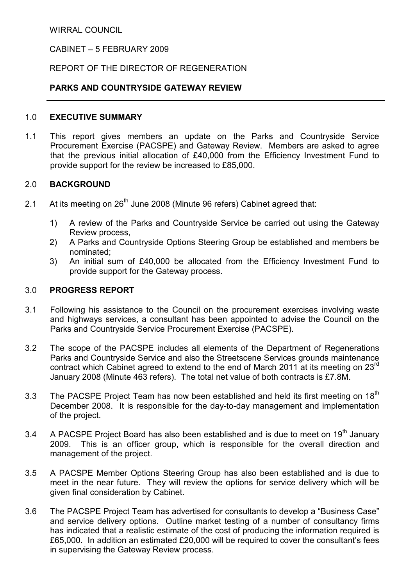WIRRAL COUNCIL

# CABINET – 5 FEBRUARY 2009

# REPORT OF THE DIRECTOR OF REGENERATION

### PARKS AND COUNTRYSIDE GATEWAY REVIEW

#### 1.0 EXECUTIVE SUMMARY

1.1 This report gives members an update on the Parks and Countryside Service Procurement Exercise (PACSPE) and Gateway Review. Members are asked to agree that the previous initial allocation of £40,000 from the Efficiency Investment Fund to provide support for the review be increased to £85,000.

## 2.0 BACKGROUND

- 2.1 At its meeting on 26<sup>th</sup> June 2008 (Minute 96 refers) Cabinet agreed that:
	- 1) A review of the Parks and Countryside Service be carried out using the Gateway Review process,
	- 2) A Parks and Countryside Options Steering Group be established and members be nominated;
	- 3) An initial sum of £40,000 be allocated from the Efficiency Investment Fund to provide support for the Gateway process.

### 3.0 PROGRESS REPORT

- 3.1 Following his assistance to the Council on the procurement exercises involving waste and highways services, a consultant has been appointed to advise the Council on the Parks and Countryside Service Procurement Exercise (PACSPE).
- 3.2 The scope of the PACSPE includes all elements of the Department of Regenerations Parks and Countryside Service and also the Streetscene Services grounds maintenance contract which Cabinet agreed to extend to the end of March 2011 at its meeting on 23<sup>rd</sup> January 2008 (Minute 463 refers). The total net value of both contracts is £7.8M.
- 3.3 The PACSPE Project Team has now been established and held its first meeting on 18<sup>th</sup> December 2008. It is responsible for the day-to-day management and implementation of the project.
- 3.4 A PACSPE Project Board has also been established and is due to meet on  $19<sup>th</sup>$  January 2009. This is an officer group, which is responsible for the overall direction and management of the project.
- 3.5 A PACSPE Member Options Steering Group has also been established and is due to meet in the near future. They will review the options for service delivery which will be given final consideration by Cabinet.
- 3.6 The PACSPE Project Team has advertised for consultants to develop a "Business Case" and service delivery options. Outline market testing of a number of consultancy firms has indicated that a realistic estimate of the cost of producing the information required is £65,000. In addition an estimated £20,000 will be required to cover the consultant's fees in supervising the Gateway Review process.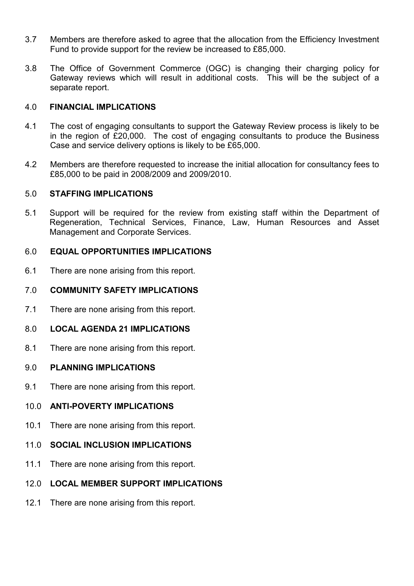- 3.7 Members are therefore asked to agree that the allocation from the Efficiency Investment Fund to provide support for the review be increased to £85,000.
- 3.8 The Office of Government Commerce (OGC) is changing their charging policy for Gateway reviews which will result in additional costs. This will be the subject of a separate report.

### 4.0 FINANCIAL IMPLICATIONS

- 4.1 The cost of engaging consultants to support the Gateway Review process is likely to be in the region of £20,000. The cost of engaging consultants to produce the Business Case and service delivery options is likely to be £65,000.
- 4.2 Members are therefore requested to increase the initial allocation for consultancy fees to £85,000 to be paid in 2008/2009 and 2009/2010.

## 5.0 STAFFING IMPLICATIONS

5.1 Support will be required for the review from existing staff within the Department of Regeneration, Technical Services, Finance, Law, Human Resources and Asset Management and Corporate Services.

## 6.0 EQUAL OPPORTUNITIES IMPLICATIONS

6.1 There are none arising from this report.

# 7.0 COMMUNITY SAFETY IMPLICATIONS

- 7.1 There are none arising from this report.
- 8.0 LOCAL AGENDA 21 IMPLICATIONS
- 8.1 There are none arising from this report.

#### 9.0 PLANNING IMPLICATIONS

9.1 There are none arising from this report.

#### 10.0 ANTI-POVERTY IMPLICATIONS

- 10.1 There are none arising from this report.
- 11.0 SOCIAL INCLUSION IMPLICATIONS
- 11.1 There are none arising from this report.

# 12.0 LOCAL MEMBER SUPPORT IMPLICATIONS

12.1 There are none arising from this report.